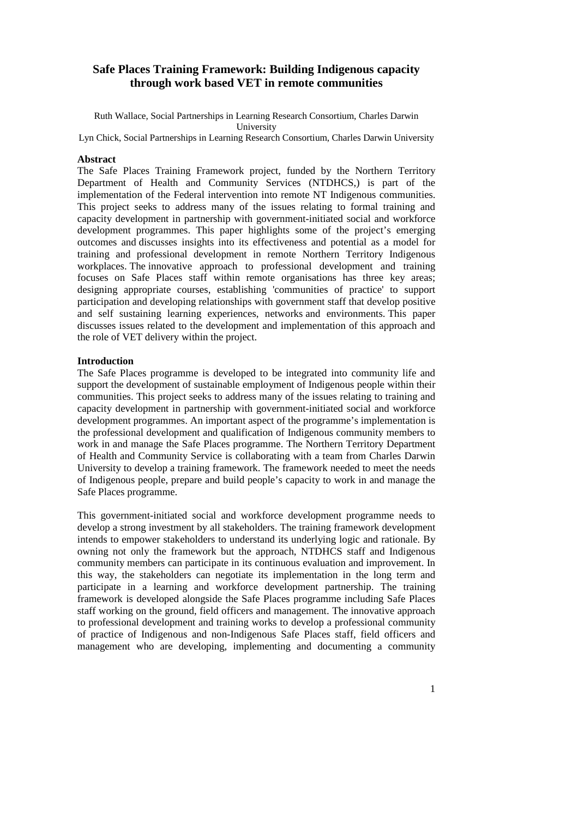# **Safe Places Training Framework: Building Indigenous capacity through work based VET in remote communities**

Ruth Wallace, Social Partnerships in Learning Research Consortium, Charles Darwin University

Lyn Chick, Social Partnerships in Learning Research Consortium, Charles Darwin University

#### **Abstract**

The Safe Places Training Framework project, funded by the Northern Territory Department of Health and Community Services (NTDHCS,) is part of the implementation of the Federal intervention into remote NT Indigenous communities. This project seeks to address many of the issues relating to formal training and capacity development in partnership with government-initiated social and workforce development programmes. This paper highlights some of the project's emerging outcomes and discusses insights into its effectiveness and potential as a model for training and professional development in remote Northern Territory Indigenous workplaces. The innovative approach to professional development and training focuses on Safe Places staff within remote organisations has three key areas; designing appropriate courses, establishing 'communities of practice' to support participation and developing relationships with government staff that develop positive and self sustaining learning experiences, networks and environments. This paper discusses issues related to the development and implementation of this approach and the role of VET delivery within the project.

# **Introduction**

The Safe Places programme is developed to be integrated into community life and support the development of sustainable employment of Indigenous people within their communities. This project seeks to address many of the issues relating to training and capacity development in partnership with government-initiated social and workforce development programmes. An important aspect of the programme's implementation is the professional development and qualification of Indigenous community members to work in and manage the Safe Places programme. The Northern Territory Department of Health and Community Service is collaborating with a team from Charles Darwin University to develop a training framework. The framework needed to meet the needs of Indigenous people, prepare and build people's capacity to work in and manage the Safe Places programme.

This government-initiated social and workforce development programme needs to develop a strong investment by all stakeholders. The training framework development intends to empower stakeholders to understand its underlying logic and rationale. By owning not only the framework but the approach, NTDHCS staff and Indigenous community members can participate in its continuous evaluation and improvement. In this way, the stakeholders can negotiate its implementation in the long term and participate in a learning and workforce development partnership. The training framework is developed alongside the Safe Places programme including Safe Places staff working on the ground, field officers and management. The innovative approach to professional development and training works to develop a professional community of practice of Indigenous and non-Indigenous Safe Places staff, field officers and management who are developing, implementing and documenting a community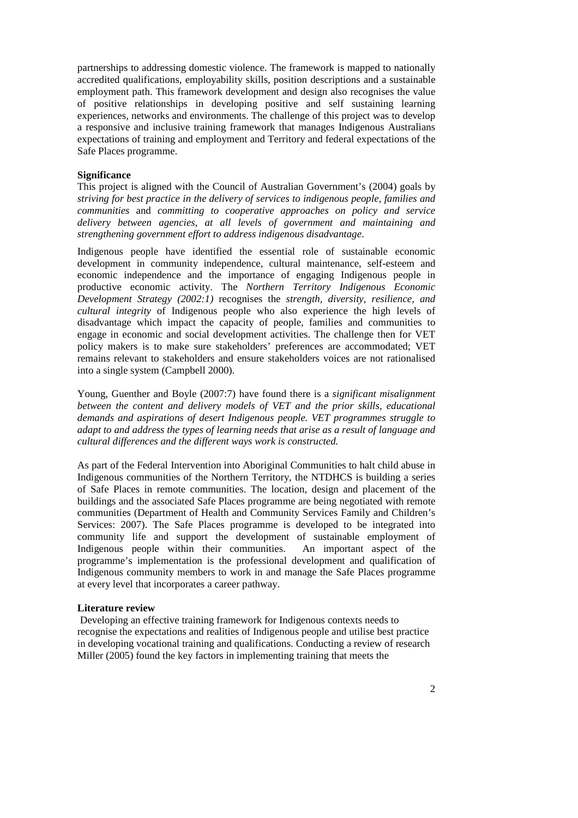partnerships to addressing domestic violence. The framework is mapped to nationally accredited qualifications, employability skills, position descriptions and a sustainable employment path. This framework development and design also recognises the value of positive relationships in developing positive and self sustaining learning experiences, networks and environments. The challenge of this project was to develop a responsive and inclusive training framework that manages Indigenous Australians expectations of training and employment and Territory and federal expectations of the Safe Places programme.

# **Significance**

This project is aligned with the Council of Australian Government's (2004) goals by *striving for best practice in the delivery of services to indigenous people, families and communities* and *committing to cooperative approaches on policy and service delivery between agencies, at all levels of government and maintaining and strengthening government effort to address indigenous disadvantage*.

Indigenous people have identified the essential role of sustainable economic development in community independence, cultural maintenance, self-esteem and economic independence and the importance of engaging Indigenous people in productive economic activity. The *Northern Territory Indigenous Economic Development Strategy (2002:1)* recognises the *strength, diversity, resilience, and cultural integrity* of Indigenous people who also experience the high levels of disadvantage which impact the capacity of people, families and communities to engage in economic and social development activities. The challenge then for VET policy makers is to make sure stakeholders' preferences are accommodated; VET remains relevant to stakeholders and ensure stakeholders voices are not rationalised into a single system (Campbell 2000).

Young, Guenther and Boyle (2007:7) have found there is a *significant misalignment between the content and delivery models of VET and the prior skills, educational demands and aspirations of desert Indigenous people. VET programmes struggle to adapt to and address the types of learning needs that arise as a result of language and cultural differences and the different ways work is constructed.* 

As part of the Federal Intervention into Aboriginal Communities to halt child abuse in Indigenous communities of the Northern Territory, the NTDHCS is building a series of Safe Places in remote communities. The location, design and placement of the buildings and the associated Safe Places programme are being negotiated with remote communities (Department of Health and Community Services Family and Children's Services: 2007). The Safe Places programme is developed to be integrated into community life and support the development of sustainable employment of Indigenous people within their communities. An important aspect of the programme's implementation is the professional development and qualification of Indigenous community members to work in and manage the Safe Places programme at every level that incorporates a career pathway.

#### **Literature review**

Developing an effective training framework for Indigenous contexts needs to recognise the expectations and realities of Indigenous people and utilise best practice in developing vocational training and qualifications. Conducting a review of research Miller (2005) found the key factors in implementing training that meets the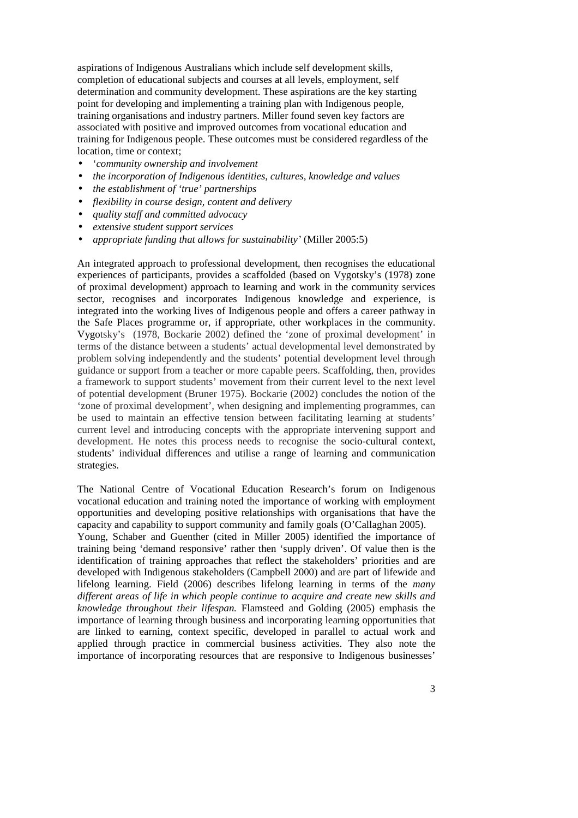aspirations of Indigenous Australians which include self development skills, completion of educational subjects and courses at all levels, employment, self determination and community development. These aspirations are the key starting point for developing and implementing a training plan with Indigenous people, training organisations and industry partners. Miller found seven key factors are associated with positive and improved outcomes from vocational education and training for Indigenous people. These outcomes must be considered regardless of the location, time or context;

- '*community ownership and involvement*
- *the incorporation of Indigenous identities, cultures, knowledge and values*
- *the establishment of 'true' partnerships*
- *flexibility in course design, content and delivery*
- *quality staff and committed advocacy*
- *extensive student support services*
- *appropriate funding that allows for sustainability'* (Miller 2005:5)

An integrated approach to professional development, then recognises the educational experiences of participants, provides a scaffolded (based on Vygotsky's (1978) zone of proximal development) approach to learning and work in the community services sector, recognises and incorporates Indigenous knowledge and experience, is integrated into the working lives of Indigenous people and offers a career pathway in the Safe Places programme or, if appropriate, other workplaces in the community. Vygotsky's (1978, Bockarie 2002) defined the 'zone of proximal development' in terms of the distance between a students' actual developmental level demonstrated by problem solving independently and the students' potential development level through guidance or support from a teacher or more capable peers. Scaffolding, then, provides a framework to support students' movement from their current level to the next level of potential development (Bruner 1975). Bockarie (2002) concludes the notion of the 'zone of proximal development', when designing and implementing programmes, can be used to maintain an effective tension between facilitating learning at students' current level and introducing concepts with the appropriate intervening support and development. He notes this process needs to recognise the socio-cultural context, students' individual differences and utilise a range of learning and communication strategies.

The National Centre of Vocational Education Research's forum on Indigenous vocational education and training noted the importance of working with employment opportunities and developing positive relationships with organisations that have the capacity and capability to support community and family goals (O'Callaghan 2005).

Young, Schaber and Guenther (cited in Miller 2005) identified the importance of training being 'demand responsive' rather then 'supply driven'. Of value then is the identification of training approaches that reflect the stakeholders' priorities and are developed with Indigenous stakeholders (Campbell 2000) and are part of lifewide and lifelong learning. Field (2006) describes lifelong learning in terms of the *many different areas of life in which people continue to acquire and create new skills and knowledge throughout their lifespan.* Flamsteed and Golding (2005) emphasis the importance of learning through business and incorporating learning opportunities that are linked to earning, context specific, developed in parallel to actual work and applied through practice in commercial business activities. They also note the importance of incorporating resources that are responsive to Indigenous businesses'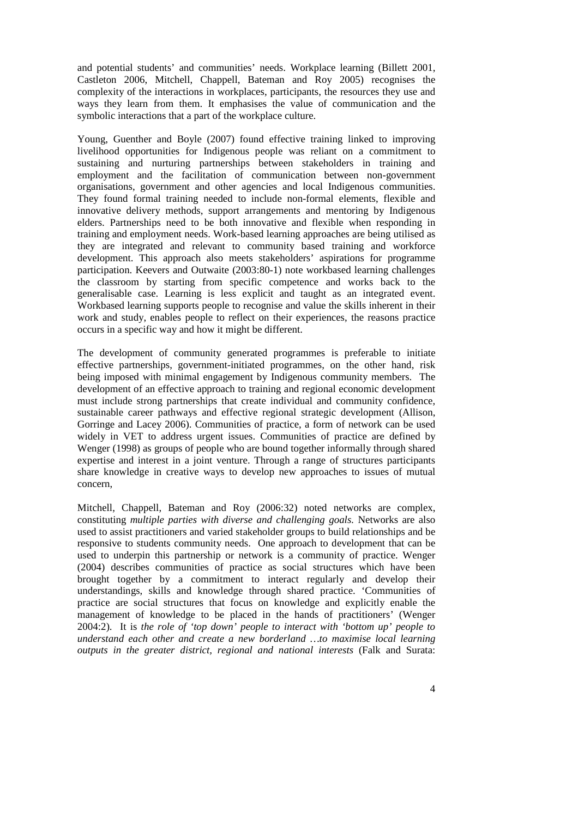and potential students' and communities' needs. Workplace learning (Billett 2001, Castleton 2006, Mitchell, Chappell, Bateman and Roy 2005) recognises the complexity of the interactions in workplaces, participants, the resources they use and ways they learn from them. It emphasises the value of communication and the symbolic interactions that a part of the workplace culture.

Young, Guenther and Boyle (2007) found effective training linked to improving livelihood opportunities for Indigenous people was reliant on a commitment to sustaining and nurturing partnerships between stakeholders in training and employment and the facilitation of communication between non-government organisations, government and other agencies and local Indigenous communities. They found formal training needed to include non-formal elements, flexible and innovative delivery methods, support arrangements and mentoring by Indigenous elders. Partnerships need to be both innovative and flexible when responding in training and employment needs. Work-based learning approaches are being utilised as they are integrated and relevant to community based training and workforce development. This approach also meets stakeholders' aspirations for programme participation. Keevers and Outwaite (2003:80-1) note workbased learning challenges the classroom by starting from specific competence and works back to the generalisable case. Learning is less explicit and taught as an integrated event. Workbased learning supports people to recognise and value the skills inherent in their work and study, enables people to reflect on their experiences, the reasons practice occurs in a specific way and how it might be different.

The development of community generated programmes is preferable to initiate effective partnerships, government-initiated programmes, on the other hand, risk being imposed with minimal engagement by Indigenous community members. The development of an effective approach to training and regional economic development must include strong partnerships that create individual and community confidence, sustainable career pathways and effective regional strategic development (Allison, Gorringe and Lacey 2006). Communities of practice, a form of network can be used widely in VET to address urgent issues. Communities of practice are defined by Wenger (1998) as groups of people who are bound together informally through shared expertise and interest in a joint venture. Through a range of structures participants share knowledge in creative ways to develop new approaches to issues of mutual concern,

Mitchell, Chappell, Bateman and Roy (2006:32) noted networks are complex, constituting *multiple parties with diverse and challenging goals.* Networks are also used to assist practitioners and varied stakeholder groups to build relationships and be responsive to students community needs. One approach to development that can be used to underpin this partnership or network is a community of practice. Wenger (2004) describes communities of practice as social structures which have been brought together by a commitment to interact regularly and develop their understandings, skills and knowledge through shared practice. 'Communities of practice are social structures that focus on knowledge and explicitly enable the management of knowledge to be placed in the hands of practitioners' (Wenger 2004:2). It is *the role of 'top down' people to interact with 'bottom up' people to understand each other and create a new borderland …to maximise local learning outputs in the greater district, regional and national interests* (Falk and Surata: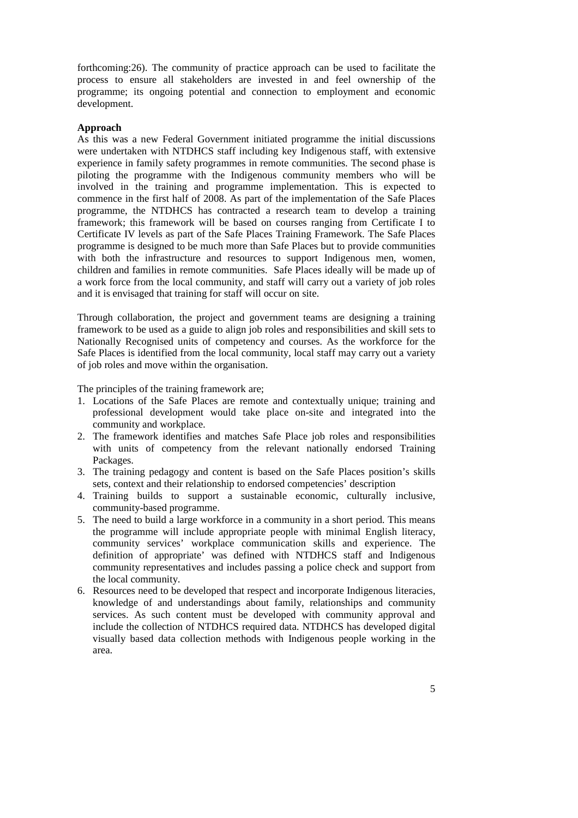forthcoming:26). The community of practice approach can be used to facilitate the process to ensure all stakeholders are invested in and feel ownership of the programme; its ongoing potential and connection to employment and economic development.

# **Approach**

As this was a new Federal Government initiated programme the initial discussions were undertaken with NTDHCS staff including key Indigenous staff, with extensive experience in family safety programmes in remote communities. The second phase is piloting the programme with the Indigenous community members who will be involved in the training and programme implementation. This is expected to commence in the first half of 2008. As part of the implementation of the Safe Places programme, the NTDHCS has contracted a research team to develop a training framework; this framework will be based on courses ranging from Certificate I to Certificate IV levels as part of the Safe Places Training Framework. The Safe Places programme is designed to be much more than Safe Places but to provide communities with both the infrastructure and resources to support Indigenous men, women, children and families in remote communities. Safe Places ideally will be made up of a work force from the local community, and staff will carry out a variety of job roles and it is envisaged that training for staff will occur on site.

Through collaboration, the project and government teams are designing a training framework to be used as a guide to align job roles and responsibilities and skill sets to Nationally Recognised units of competency and courses. As the workforce for the Safe Places is identified from the local community, local staff may carry out a variety of job roles and move within the organisation.

The principles of the training framework are;

- 1. Locations of the Safe Places are remote and contextually unique; training and professional development would take place on-site and integrated into the community and workplace.
- 2. The framework identifies and matches Safe Place job roles and responsibilities with units of competency from the relevant nationally endorsed Training Packages.
- 3. The training pedagogy and content is based on the Safe Places position's skills sets, context and their relationship to endorsed competencies' description
- 4. Training builds to support a sustainable economic, culturally inclusive, community-based programme.
- 5. The need to build a large workforce in a community in a short period. This means the programme will include appropriate people with minimal English literacy, community services' workplace communication skills and experience. The definition of appropriate' was defined with NTDHCS staff and Indigenous community representatives and includes passing a police check and support from the local community.
- 6. Resources need to be developed that respect and incorporate Indigenous literacies, knowledge of and understandings about family, relationships and community services. As such content must be developed with community approval and include the collection of NTDHCS required data. NTDHCS has developed digital visually based data collection methods with Indigenous people working in the area.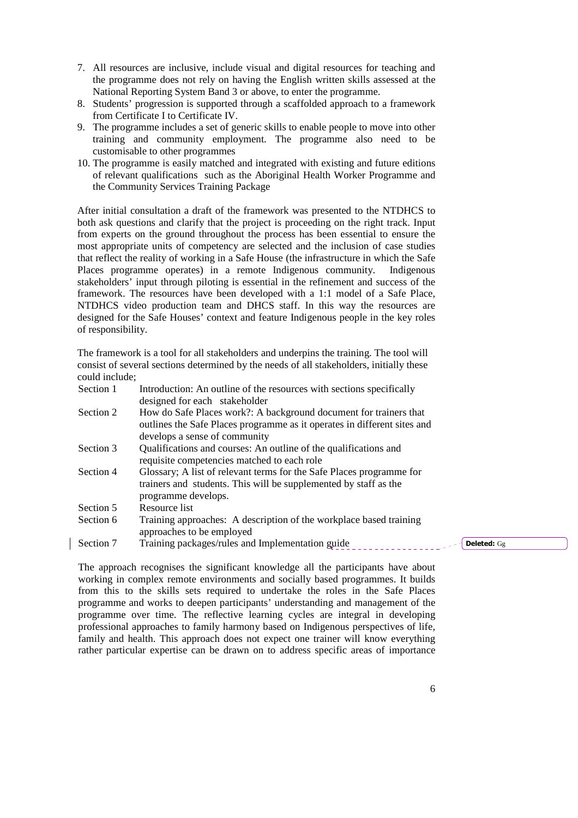- 7. All resources are inclusive, include visual and digital resources for teaching and the programme does not rely on having the English written skills assessed at the National Reporting System Band 3 or above, to enter the programme.
- 8. Students' progression is supported through a scaffolded approach to a framework from Certificate I to Certificate IV.
- 9. The programme includes a set of generic skills to enable people to move into other training and community employment. The programme also need to be customisable to other programmes
- 10. The programme is easily matched and integrated with existing and future editions of relevant qualifications such as the Aboriginal Health Worker Programme and the Community Services Training Package

After initial consultation a draft of the framework was presented to the NTDHCS to both ask questions and clarify that the project is proceeding on the right track. Input from experts on the ground throughout the process has been essential to ensure the most appropriate units of competency are selected and the inclusion of case studies that reflect the reality of working in a Safe House (the infrastructure in which the Safe Places programme operates) in a remote Indigenous community. Indigenous stakeholders' input through piloting is essential in the refinement and success of the framework. The resources have been developed with a 1:1 model of a Safe Place, NTDHCS video production team and DHCS staff. In this way the resources are designed for the Safe Houses' context and feature Indigenous people in the key roles of responsibility.

The framework is a tool for all stakeholders and underpins the training. The tool will consist of several sections determined by the needs of all stakeholders, initially these could include;

| Introduction: An outline of the resources with sections specifically     |
|--------------------------------------------------------------------------|
|                                                                          |
| How do Safe Places work?: A background document for trainers that        |
| outlines the Safe Places programme as it operates in different sites and |
|                                                                          |
| Qualifications and courses: An outline of the qualifications and         |
|                                                                          |
| Glossary; A list of relevant terms for the Safe Places programme for     |
| trainers and students. This will be supplemented by staff as the         |
|                                                                          |
|                                                                          |
| Training approaches: A description of the workplace based training       |
|                                                                          |
| Training packages/rules and Implementation guide                         |
|                                                                          |

The approach recognises the significant knowledge all the participants have about working in complex remote environments and socially based programmes. It builds from this to the skills sets required to undertake the roles in the Safe Places programme and works to deepen participants' understanding and management of the programme over time. The reflective learning cycles are integral in developing professional approaches to family harmony based on Indigenous perspectives of life, family and health. This approach does not expect one trainer will know everything rather particular expertise can be drawn on to address specific areas of importance

Deleted: Gg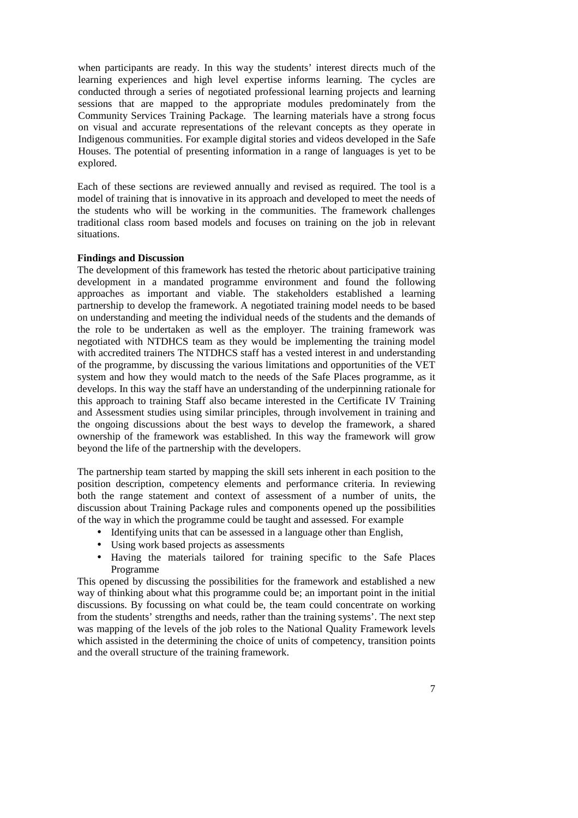when participants are ready. In this way the students' interest directs much of the learning experiences and high level expertise informs learning. The cycles are conducted through a series of negotiated professional learning projects and learning sessions that are mapped to the appropriate modules predominately from the Community Services Training Package. The learning materials have a strong focus on visual and accurate representations of the relevant concepts as they operate in Indigenous communities. For example digital stories and videos developed in the Safe Houses. The potential of presenting information in a range of languages is yet to be explored.

Each of these sections are reviewed annually and revised as required. The tool is a model of training that is innovative in its approach and developed to meet the needs of the students who will be working in the communities. The framework challenges traditional class room based models and focuses on training on the job in relevant situations.

#### **Findings and Discussion**

The development of this framework has tested the rhetoric about participative training development in a mandated programme environment and found the following approaches as important and viable. The stakeholders established a learning partnership to develop the framework. A negotiated training model needs to be based on understanding and meeting the individual needs of the students and the demands of the role to be undertaken as well as the employer. The training framework was negotiated with NTDHCS team as they would be implementing the training model with accredited trainers The NTDHCS staff has a vested interest in and understanding of the programme, by discussing the various limitations and opportunities of the VET system and how they would match to the needs of the Safe Places programme, as it develops. In this way the staff have an understanding of the underpinning rationale for this approach to training Staff also became interested in the Certificate IV Training and Assessment studies using similar principles, through involvement in training and the ongoing discussions about the best ways to develop the framework, a shared ownership of the framework was established. In this way the framework will grow beyond the life of the partnership with the developers.

The partnership team started by mapping the skill sets inherent in each position to the position description, competency elements and performance criteria. In reviewing both the range statement and context of assessment of a number of units, the discussion about Training Package rules and components opened up the possibilities of the way in which the programme could be taught and assessed. For example

- Identifying units that can be assessed in a language other than English,
- Using work based projects as assessments
- Having the materials tailored for training specific to the Safe Places Programme

This opened by discussing the possibilities for the framework and established a new way of thinking about what this programme could be; an important point in the initial discussions. By focussing on what could be, the team could concentrate on working from the students' strengths and needs, rather than the training systems'. The next step was mapping of the levels of the job roles to the National Quality Framework levels which assisted in the determining the choice of units of competency, transition points and the overall structure of the training framework.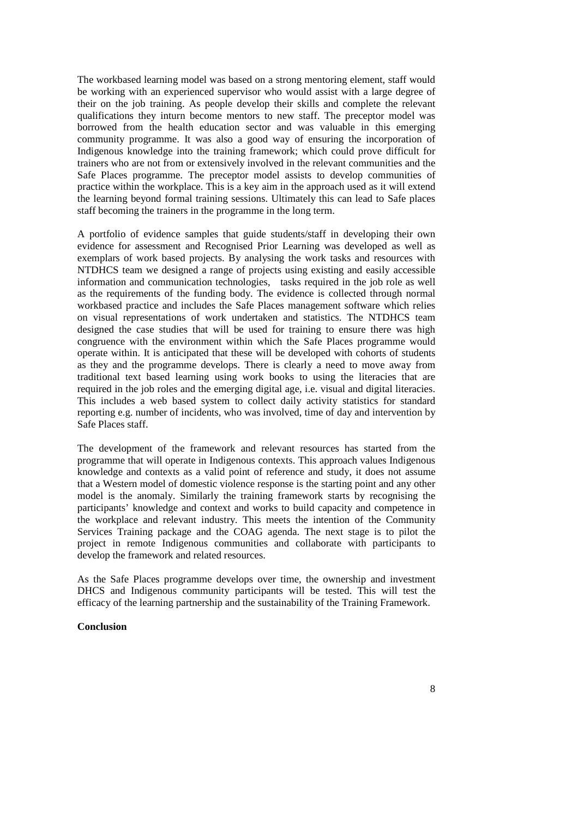The workbased learning model was based on a strong mentoring element, staff would be working with an experienced supervisor who would assist with a large degree of their on the job training. As people develop their skills and complete the relevant qualifications they inturn become mentors to new staff. The preceptor model was borrowed from the health education sector and was valuable in this emerging community programme. It was also a good way of ensuring the incorporation of Indigenous knowledge into the training framework; which could prove difficult for trainers who are not from or extensively involved in the relevant communities and the Safe Places programme. The preceptor model assists to develop communities of practice within the workplace. This is a key aim in the approach used as it will extend the learning beyond formal training sessions. Ultimately this can lead to Safe places staff becoming the trainers in the programme in the long term.

A portfolio of evidence samples that guide students/staff in developing their own evidence for assessment and Recognised Prior Learning was developed as well as exemplars of work based projects. By analysing the work tasks and resources with NTDHCS team we designed a range of projects using existing and easily accessible information and communication technologies, tasks required in the job role as well as the requirements of the funding body. The evidence is collected through normal workbased practice and includes the Safe Places management software which relies on visual representations of work undertaken and statistics. The NTDHCS team designed the case studies that will be used for training to ensure there was high congruence with the environment within which the Safe Places programme would operate within. It is anticipated that these will be developed with cohorts of students as they and the programme develops. There is clearly a need to move away from traditional text based learning using work books to using the literacies that are required in the job roles and the emerging digital age, i.e. visual and digital literacies. This includes a web based system to collect daily activity statistics for standard reporting e.g. number of incidents, who was involved, time of day and intervention by Safe Places staff.

The development of the framework and relevant resources has started from the programme that will operate in Indigenous contexts. This approach values Indigenous knowledge and contexts as a valid point of reference and study, it does not assume that a Western model of domestic violence response is the starting point and any other model is the anomaly. Similarly the training framework starts by recognising the participants' knowledge and context and works to build capacity and competence in the workplace and relevant industry. This meets the intention of the Community Services Training package and the COAG agenda. The next stage is to pilot the project in remote Indigenous communities and collaborate with participants to develop the framework and related resources.

As the Safe Places programme develops over time, the ownership and investment DHCS and Indigenous community participants will be tested. This will test the efficacy of the learning partnership and the sustainability of the Training Framework.

# **Conclusion**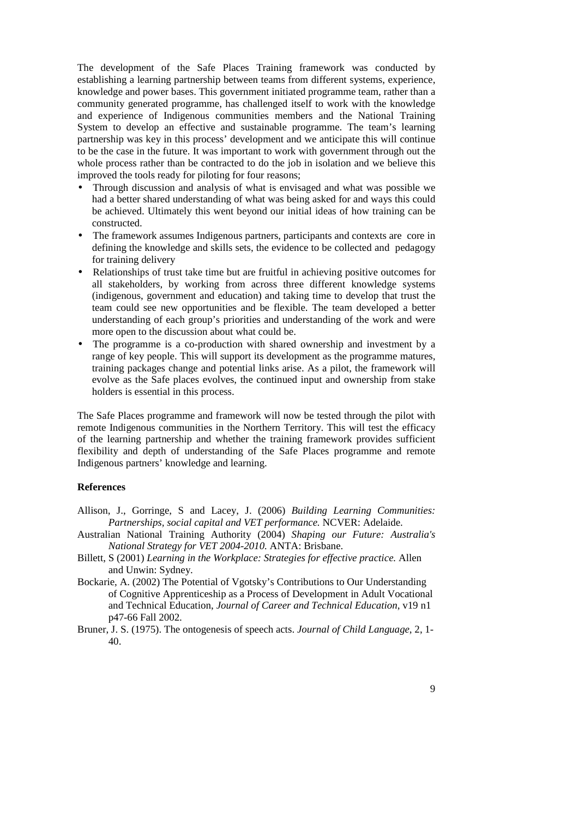The development of the Safe Places Training framework was conducted by establishing a learning partnership between teams from different systems, experience, knowledge and power bases. This government initiated programme team, rather than a community generated programme, has challenged itself to work with the knowledge and experience of Indigenous communities members and the National Training System to develop an effective and sustainable programme. The team's learning partnership was key in this process' development and we anticipate this will continue to be the case in the future. It was important to work with government through out the whole process rather than be contracted to do the job in isolation and we believe this improved the tools ready for piloting for four reasons;

- Through discussion and analysis of what is envisaged and what was possible we had a better shared understanding of what was being asked for and ways this could be achieved. Ultimately this went beyond our initial ideas of how training can be constructed.
- The framework assumes Indigenous partners, participants and contexts are core in defining the knowledge and skills sets, the evidence to be collected and pedagogy for training delivery
- Relationships of trust take time but are fruitful in achieving positive outcomes for all stakeholders, by working from across three different knowledge systems (indigenous, government and education) and taking time to develop that trust the team could see new opportunities and be flexible. The team developed a better understanding of each group's priorities and understanding of the work and were more open to the discussion about what could be.
- The programme is a co-production with shared ownership and investment by a range of key people. This will support its development as the programme matures, training packages change and potential links arise. As a pilot, the framework will evolve as the Safe places evolves, the continued input and ownership from stake holders is essential in this process.

The Safe Places programme and framework will now be tested through the pilot with remote Indigenous communities in the Northern Territory. This will test the efficacy of the learning partnership and whether the training framework provides sufficient flexibility and depth of understanding of the Safe Places programme and remote Indigenous partners' knowledge and learning.

# **References**

- Allison, J., Gorringe, S and Lacey, J. (2006) *Building Learning Communities: Partnerships, social capital and VET performance.* NCVER: Adelaide.
- Australian National Training Authority (2004) *Shaping our Future: Australia's National Strategy for VET 2004-2010.* ANTA: Brisbane.
- Billett, S (2001) *Learning in the Workplace: Strategies for effective practice.* Allen and Unwin: Sydney.
- Bockarie, A. (2002) The Potential of Vgotsky's Contributions to Our Understanding of Cognitive Apprenticeship as a Process of Development in Adult Vocational and Technical Education, *Journal of Career and Technical Education*, v19 n1 p47-66 Fall 2002.
- Bruner, J. S. (1975). The ontogenesis of speech acts. *Journal of Child Language*, 2, 1- 40.